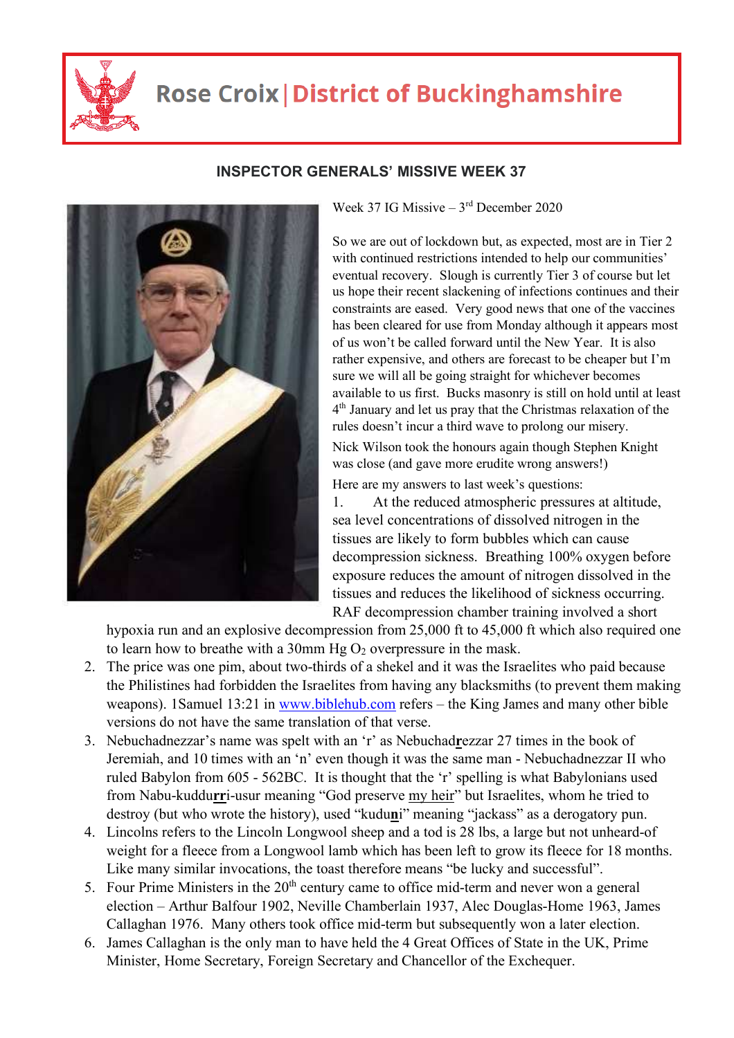

## **Rose Croix | District of Buckinghamshire**



## **INSPECTOR GENERALS' MISSIVE WEEK 37**

Week 37 IG Missive  $-3<sup>rd</sup>$  December 2020

So we are out of lockdown but, as expected, most are in Tier 2 with continued restrictions intended to help our communities' eventual recovery. Slough is currently Tier 3 of course but let us hope their recent slackening of infections continues and their constraints are eased. Very good news that one of the vaccines has been cleared for use from Monday although it appears most of us won't be called forward until the New Year. It is also rather expensive, and others are forecast to be cheaper but I'm sure we will all be going straight for whichever becomes available to us first. Bucks masonry is still on hold until at least 4 th January and let us pray that the Christmas relaxation of the rules doesn't incur a third wave to prolong our misery. Nick Wilson took the honours again though Stephen Knight was close (and gave more erudite wrong answers!)

Here are my answers to last week's questions:

1. At the reduced atmospheric pressures at altitude, sea level concentrations of dissolved nitrogen in the tissues are likely to form bubbles which can cause decompression sickness. Breathing 100% oxygen before exposure reduces the amount of nitrogen dissolved in the tissues and reduces the likelihood of sickness occurring. RAF decompression chamber training involved a short

hypoxia run and an explosive decompression from 25,000 ft to 45,000 ft which also required one to learn how to breathe with a  $30$ mm Hg  $O_2$  overpressure in the mask.

- 2. The price was one pim, about two-thirds of a shekel and it was the Israelites who paid because the Philistines had forbidden the Israelites from having any blacksmiths (to prevent them making weapons). 1Samuel 13:21 in www.biblehub.com refers – the King James and many other bible versions do not have the same translation of that verse.
- 3. Nebuchadnezzar's name was spelt with an 'r' as Nebuchad**r**ezzar 27 times in the book of Jeremiah, and 10 times with an 'n' even though it was the same man - Nebuchadnezzar II who ruled Babylon from 605 - 562BC. It is thought that the 'r' spelling is what Babylonians used from Nabu-kuddu**rr**i-usur meaning "God preserve my heir" but Israelites, whom he tried to destroy (but who wrote the history), used "kudu**n**i" meaning "jackass" as a derogatory pun.
- 4. Lincolns refers to the Lincoln Longwool sheep and a tod is 28 lbs, a large but not unheard-of weight for a fleece from a Longwool lamb which has been left to grow its fleece for 18 months. Like many similar invocations, the toast therefore means "be lucky and successful".
- 5. Four Prime Ministers in the  $20<sup>th</sup>$  century came to office mid-term and never won a general election – Arthur Balfour 1902, Neville Chamberlain 1937, Alec Douglas-Home 1963, James Callaghan 1976. Many others took office mid-term but subsequently won a later election.
- 6. James Callaghan is the only man to have held the 4 Great Offices of State in the UK, Prime Minister, Home Secretary, Foreign Secretary and Chancellor of the Exchequer.